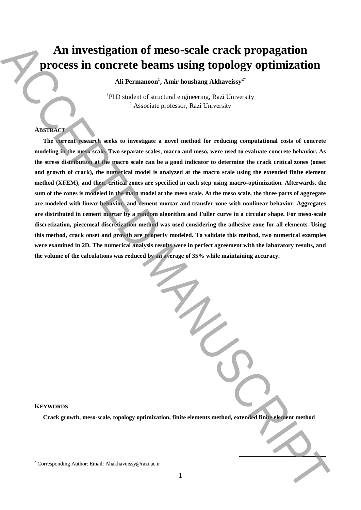# **An investigation of meso-scale crack propagation process in concrete beams using topology optimization**

**Ali Permanoon<sup>1</sup> , Amir houshang Akhaveissy<sup>2</sup>**\*

<sup>1</sup>PhD student of structural engineering, Razi University <sup>2</sup> Associate professor, Razi University

## **ABSTRACT**

**The current research seeks to investigate a novel method for reducing computational costs of concrete modeling in the meso scale. Two separate scales, macro and meso, were used to evaluate concrete behavior. As the stress distribution at the macro scale can be a good indicator to determine the crack critical zones (onset and growth of crack), the numerical model is analyzed at the macro scale using the extended finite element method (XFEM), and then, critical zones are specified in each step using macro-optimization. Afterwards, the sum of the zones is modeled in the main model at the meso scale. At the meso scale, the three parts of aggregate are modeled with linear behavior, and cement mortar and transfer zone with nonlinear behavior. Aggregates are distributed in cement mortar by a random algorithm and Fuller curve in a circular shape. For meso-scale discretization, piecemeal discretization method was used considering the adhesive zone for all elements. Using this method, crack onset and growth are properly modeled. To validate this method, two numerical examples were examined in 2D. The numerical analysis results were in perfect agreement with the laboratory results, and the volume of the calculations was reduced by an average of 35% while maintaining accuracy.** An investigation of meso-scale crack propagation<br>  $\frac{1}{2}$  are corrected beams using toppology optimization<br>  $\frac{1}{2}$  and Fermanuscript and such and the such and  $\frac{1}{2}$ <br>  $\frac{1}{2}$  and  $\frac{1}{2}$ <br>  $\frac{1}{2}$  and  $\frac{1}{2$ 

## **KEYWORDS**

**Crack growth, meso-scale, topology optimization, finite elements method, extended finite element method**

**.**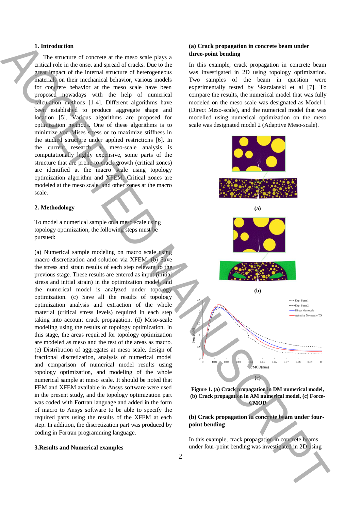## **1. Introduction**

The structure of concrete at the meso scale plays a critical role in the onset and spread of cracks. Due to the great impact of the internal structure of heterogeneous materials on their mechanical behavior, various models for concrete behavior at the meso scale have been proposed nowadays with the help of numerical calculation methods [1-4]. Different algorithms have been established to produce aggregate shape and location [5]. Various algorithms are proposed for optimization methods. One of these algorithms is to minimize von Mises stress or to maximize stiffness in the studied structure under applied restrictions [6]. In the current research, as meso-scale analysis is computationally highly expensive, some parts of the structure that are prone to crack growth (critical zones) are identified at the macro scale using topology optimization algorithm and XFEM. Critical zones are modeled at the meso scale, and other zones at the macro scale.

#### **2. Methodology**

To model a numerical sample on a meso scale using topology optimization, the following steps must be pursued:

(a) Numerical sample modeling on macro scale using macro discretization and solution via XFEM. (b) Save the stress and strain results of each step relevant to the previous stage. These results are entered as input (initial stress and initial strain) in the optimization model, and the numerical model is analyzed under topology optimization. (c) Save all the results of topology optimization analysis and extraction of the whole material (critical stress levels) required in each step taking into account crack propagation. (d) Meso-scale modeling using the results of topology optimization. In this stage, the areas required for topology optimization are modeled as meso and the rest of the areas as macro. (e) Distribution of aggregates at meso scale, design of fractional discretization, analysis of numerical model and comparison of numerical model results using topology optimization, and modeling of the whole numerical sample at meso scale. It should be noted that FEM and XFEM available in Ansys software were used in the present study, and the topology optimization part was coded with Fortran language and added in the form of macro to Ansys software to be able to specify the required parts using the results of the XFEM at each step. In addition, the discretization part was produced by coding in Fortran programming language.

## **3.Results and Numerical examples**

## **(a) Crack propagation in concrete beam under three-point bending**

In this example, crack propagation in concrete beam was investigated in 2D using topology optimization. Two samples of the beam in question were experimentally tested by Skarzianski et al [7]. To compare the results, the numerical model that was fully modeled on the meso scale was designated as Model 1 (Direct Meso-scale), and the numerical model that was modelled using numerical optimization on the meso scale was designated model 2 (Adaptive Meso-scale).



**Figure 1. (a) Crack propagation in DM numerical model, (b) Crack propagation in AM numerical model, (c) Force-CMOD**

## **(b) Crack propagation in concrete beam under fourpoint bending**

In this example, crack propagation in concrete beams